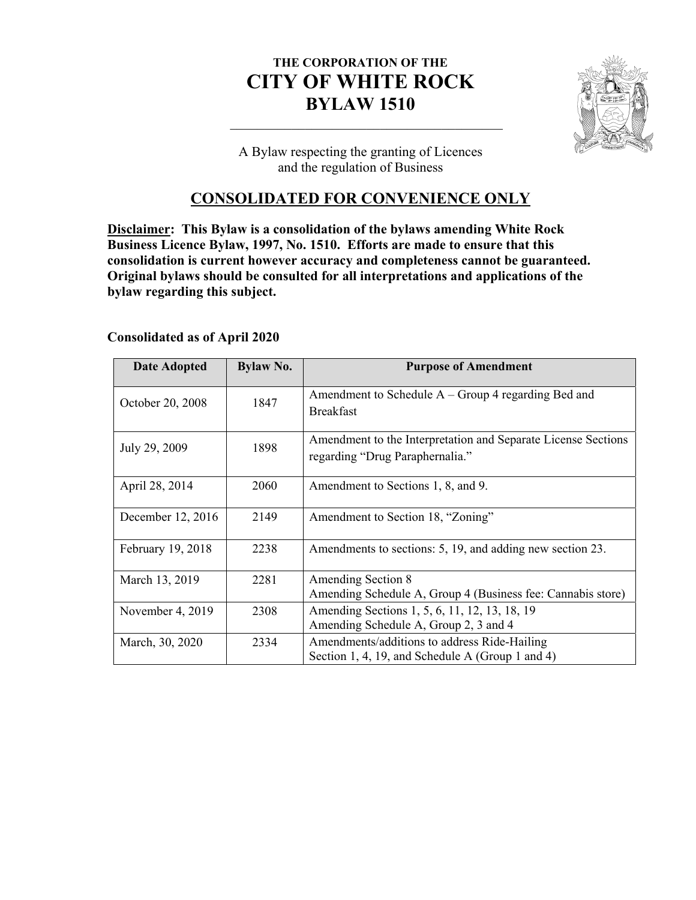# **THE CORPORATION OF THE CITY OF WHITE ROCK BYLAW 1510**



A Bylaw respecting the granting of Licences and the regulation of Business

# **CONSOLIDATED FOR CONVENIENCE ONLY**

**Disclaimer: This Bylaw is a consolidation of the bylaws amending White Rock Business Licence Bylaw, 1997, No. 1510. Efforts are made to ensure that this consolidation is current however accuracy and completeness cannot be guaranteed. Original bylaws should be consulted for all interpretations and applications of the bylaw regarding this subject.** 

# **Consolidated as of April 2020**

| <b>Date Adopted</b> | <b>Bylaw No.</b> | <b>Purpose of Amendment</b>                                                                      |
|---------------------|------------------|--------------------------------------------------------------------------------------------------|
| October 20, 2008    | 1847             | Amendment to Schedule $A - Group 4$ regarding Bed and<br><b>Breakfast</b>                        |
| July 29, 2009       | 1898             | Amendment to the Interpretation and Separate License Sections<br>regarding "Drug Paraphernalia." |
| April 28, 2014      | 2060             | Amendment to Sections 1, 8, and 9.                                                               |
| December 12, 2016   | 2149             | Amendment to Section 18, "Zoning"                                                                |
| February 19, 2018   | 2238             | Amendments to sections: 5, 19, and adding new section 23.                                        |
| March 13, 2019      | 2281             | Amending Section 8<br>Amending Schedule A, Group 4 (Business fee: Cannabis store)                |
| November 4, 2019    | 2308             | Amending Sections 1, 5, 6, 11, 12, 13, 18, 19<br>Amending Schedule A, Group 2, 3 and 4           |
| March, 30, 2020     | 2334             | Amendments/additions to address Ride-Hailing<br>Section 1, 4, 19, and Schedule A (Group 1 and 4) |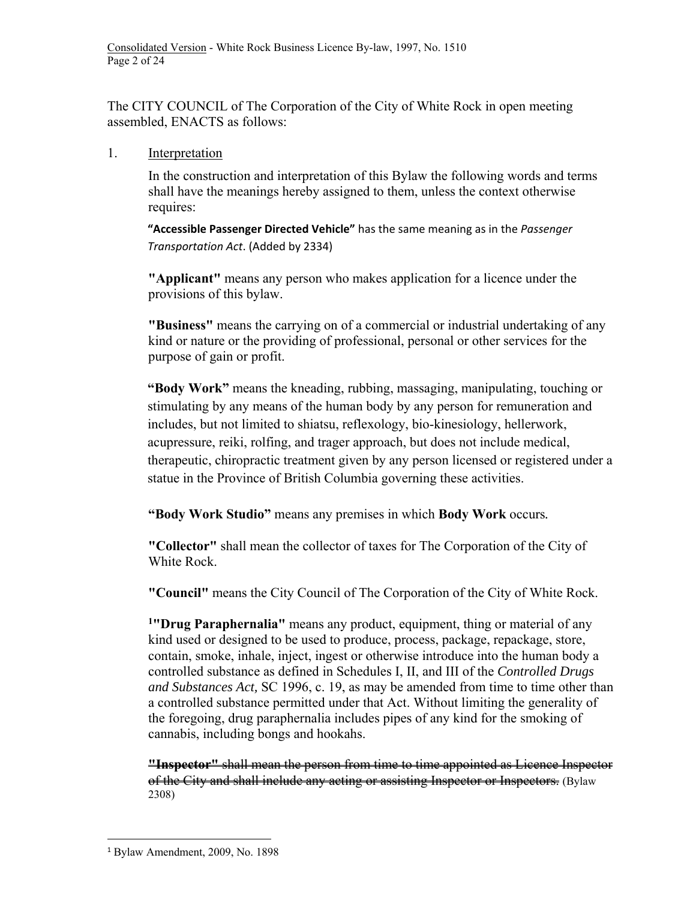The CITY COUNCIL of The Corporation of the City of White Rock in open meeting assembled, ENACTS as follows:

1. Interpretation

In the construction and interpretation of this Bylaw the following words and terms shall have the meanings hereby assigned to them, unless the context otherwise requires:

**"Accessible Passenger Directed Vehicle"** has the same meaning as in the *Passenger Transportation Act*. (Added by 2334)

**"Applicant"** means any person who makes application for a licence under the provisions of this bylaw.

**"Business"** means the carrying on of a commercial or industrial undertaking of any kind or nature or the providing of professional, personal or other services for the purpose of gain or profit.

**"Body Work"** means the kneading, rubbing, massaging, manipulating, touching or stimulating by any means of the human body by any person for remuneration and includes, but not limited to shiatsu, reflexology, bio-kinesiology, hellerwork, acupressure, reiki, rolfing, and trager approach, but does not include medical, therapeutic, chiropractic treatment given by any person licensed or registered under a statue in the Province of British Columbia governing these activities.

**"Body Work Studio"** means any premises in which **Body Work** occurs*.* 

**"Collector"** shall mean the collector of taxes for The Corporation of the City of White Rock.

**"Council"** means the City Council of The Corporation of the City of White Rock.

**1"Drug Paraphernalia"** means any product, equipment, thing or material of any kind used or designed to be used to produce, process, package, repackage, store, contain, smoke, inhale, inject, ingest or otherwise introduce into the human body a controlled substance as defined in Schedules I, II, and III of the *Controlled Drugs and Substances Act,* SC 1996, c. 19, as may be amended from time to time other than a controlled substance permitted under that Act. Without limiting the generality of the foregoing, drug paraphernalia includes pipes of any kind for the smoking of cannabis, including bongs and hookahs.

**"Inspector"** shall mean the person from time to time appointed as Licence Inspector of the City and shall include any acting or assisting Inspector or Inspectors. (Bylaw 2308)

 <sup>1</sup> Bylaw Amendment, 2009, No. 1898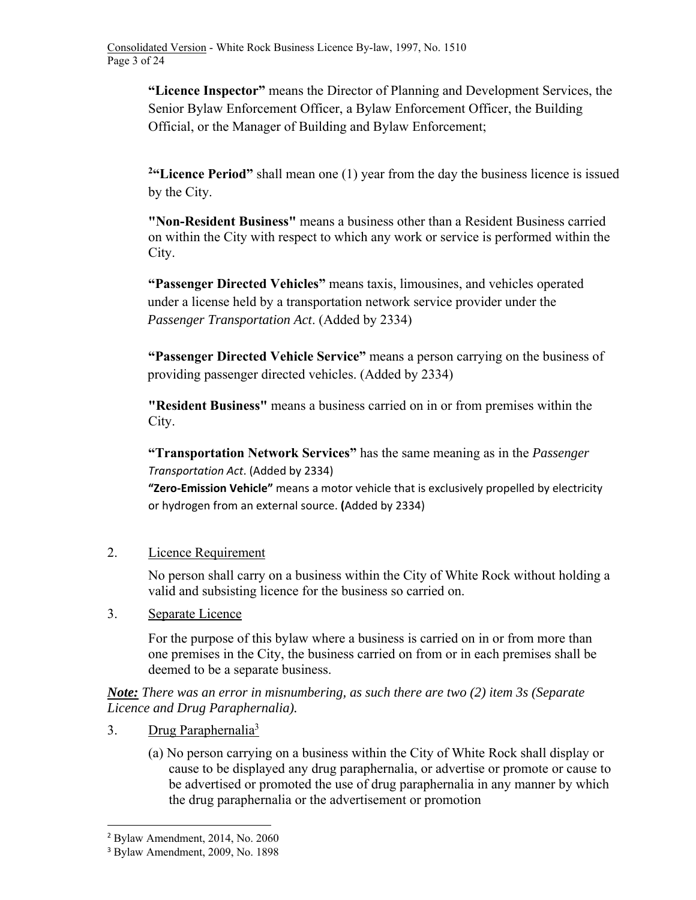**"Licence Inspector"** means the Director of Planning and Development Services, the Senior Bylaw Enforcement Officer, a Bylaw Enforcement Officer, the Building Official, or the Manager of Building and Bylaw Enforcement;

<sup>2</sup>**Example 2.** The **Period**" shall mean one (1) year from the day the business licence is issued by the City.

**"Non-Resident Business"** means a business other than a Resident Business carried on within the City with respect to which any work or service is performed within the City.

**"Passenger Directed Vehicles"** means taxis, limousines, and vehicles operated under a license held by a transportation network service provider under the *Passenger Transportation Act*. (Added by 2334)

**"Passenger Directed Vehicle Service"** means a person carrying on the business of providing passenger directed vehicles. (Added by 2334)

**"Resident Business"** means a business carried on in or from premises within the City.

**"Transportation Network Services"** has the same meaning as in the *Passenger Transportation Act*. (Added by 2334)

**"Zero‐Emission Vehicle"** means a motor vehicle that is exclusively propelled by electricity or hydrogen from an external source. **(**Added by 2334)

2. Licence Requirement

No person shall carry on a business within the City of White Rock without holding a valid and subsisting licence for the business so carried on.

3. Separate Licence

For the purpose of this bylaw where a business is carried on in or from more than one premises in the City, the business carried on from or in each premises shall be deemed to be a separate business.

*Note: There was an error in misnumbering, as such there are two (2) item 3s (Separate Licence and Drug Paraphernalia).* 

- 3. Drug Paraphernalia<sup>3</sup>
	- (a) No person carrying on a business within the City of White Rock shall display or cause to be displayed any drug paraphernalia, or advertise or promote or cause to be advertised or promoted the use of drug paraphernalia in any manner by which the drug paraphernalia or the advertisement or promotion

 <sup>2</sup> Bylaw Amendment, 2014, No. 2060

<sup>3</sup> Bylaw Amendment, 2009, No. 1898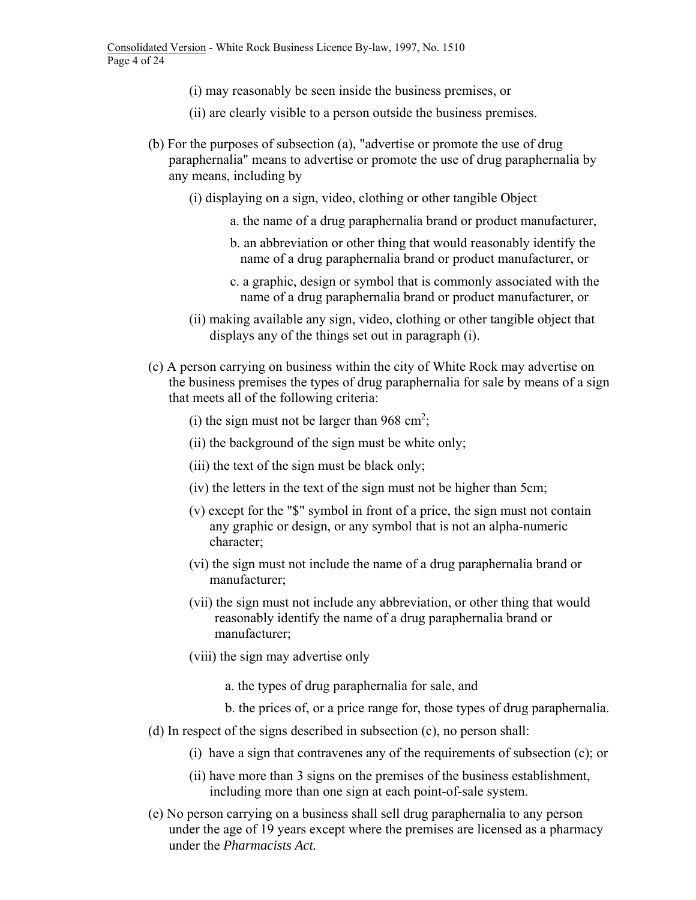- (i) may reasonably be seen inside the business premises, or
- (ii) are clearly visible to a person outside the business premises.
- (b) For the purposes of subsection (a), "advertise or promote the use of drug paraphernalia" means to advertise or promote the use of drug paraphernalia by any means, including by
	- (i) displaying on a sign, video, clothing or other tangible Object
		- a. the name of a drug paraphernalia brand or product manufacturer,
		- b. an abbreviation or other thing that would reasonably identify the name of a drug paraphernalia brand or product manufacturer, or
		- c. a graphic, design or symbol that is commonly associated with the name of a drug paraphernalia brand or product manufacturer, or
	- (ii) making available any sign, video, clothing or other tangible object that displays any of the things set out in paragraph (i).
- (c) A person carrying on business within the city of White Rock may advertise on the business premises the types of drug paraphernalia for sale by means of a sign that meets all of the following criteria:
	- (i) the sign must not be larger than  $968 \text{ cm}^2$ ;
	- (ii) the background of the sign must be white only;
	- (iii) the text of the sign must be black only;
	- (iv) the letters in the text of the sign must not be higher than 5cm;
	- (v) except for the "\$" symbol in front of a price, the sign must not contain any graphic or design, or any symbol that is not an alpha-numeric character;
	- (vi) the sign must not include the name of a drug paraphernalia brand or manufacturer;
	- (vii) the sign must not include any abbreviation, or other thing that would reasonably identify the name of a drug paraphernalia brand or manufacturer;
	- (viii) the sign may advertise only
		- a. the types of drug paraphernalia for sale, and
		- b. the prices of, or a price range for, those types of drug paraphernalia.
- (d) In respect of the signs described in subsection (c), no person shall:
	- (i) have a sign that contravenes any of the requirements of subsection (c); or
	- (ii) have more than 3 signs on the premises of the business establishment, including more than one sign at each point-of-sale system.
- (e) No person carrying on a business shall sell drug paraphernalia to any person under the age of 19 years except where the premises are licensed as a pharmacy under the *Pharmacists Act.*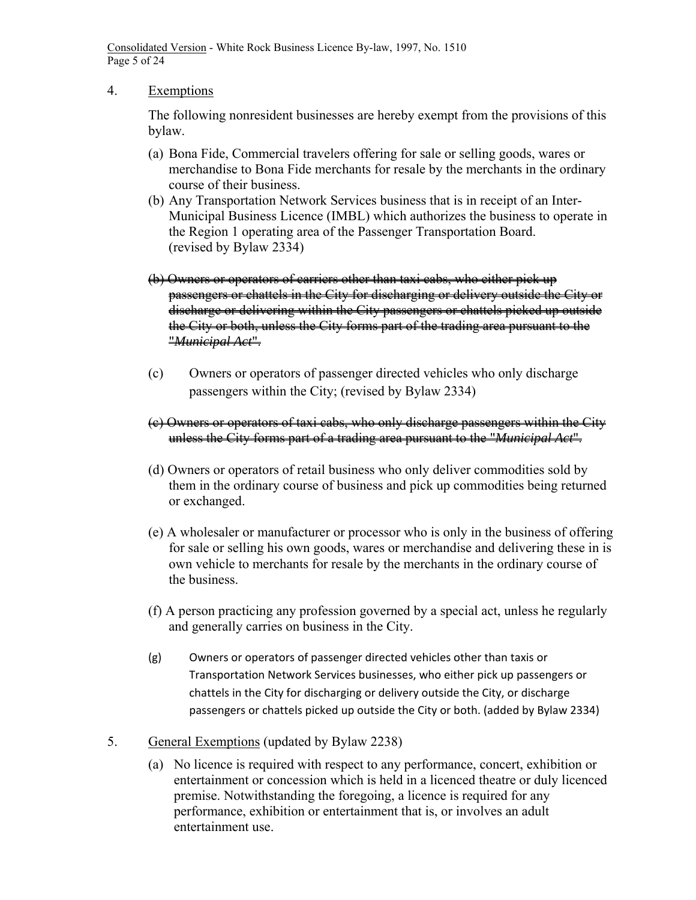Consolidated Version - White Rock Business Licence By-law, 1997, No. 1510 Page 5 of 24

### 4. Exemptions

The following nonresident businesses are hereby exempt from the provisions of this bylaw.

- (a) Bona Fide, Commercial travelers offering for sale or selling goods, wares or merchandise to Bona Fide merchants for resale by the merchants in the ordinary course of their business.
- (b) Any Transportation Network Services business that is in receipt of an Inter-Municipal Business Licence (IMBL) which authorizes the business to operate in the Region 1 operating area of the Passenger Transportation Board. (revised by Bylaw 2334)
- (b) Owners or operators of carriers other than taxi cabs, who either pick up passengers or chattels in the City for discharging or delivery outside the City or discharge or delivering within the City passengers or chattels picked up outside the City or both, unless the City forms part of the trading area pursuant to the "*Municipal Act*".
- (c) Owners or operators of passenger directed vehicles who only discharge passengers within the City; (revised by Bylaw 2334)
- (c) Owners or operators of taxi cabs, who only discharge passengers within the City unless the City forms part of a trading area pursuant to the "*Municipal Act*".
- (d) Owners or operators of retail business who only deliver commodities sold by them in the ordinary course of business and pick up commodities being returned or exchanged.
- (e) A wholesaler or manufacturer or processor who is only in the business of offering for sale or selling his own goods, wares or merchandise and delivering these in is own vehicle to merchants for resale by the merchants in the ordinary course of the business.
- (f) A person practicing any profession governed by a special act, unless he regularly and generally carries on business in the City.
- (g) Owners or operators of passenger directed vehicles other than taxis or Transportation Network Services businesses, who either pick up passengers or chattels in the City for discharging or delivery outside the City, or discharge passengers or chattels picked up outside the City or both. (added by Bylaw 2334)
- 5. General Exemptions (updated by Bylaw 2238)
	- (a) No licence is required with respect to any performance, concert, exhibition or entertainment or concession which is held in a licenced theatre or duly licenced premise. Notwithstanding the foregoing, a licence is required for any performance, exhibition or entertainment that is, or involves an adult entertainment use.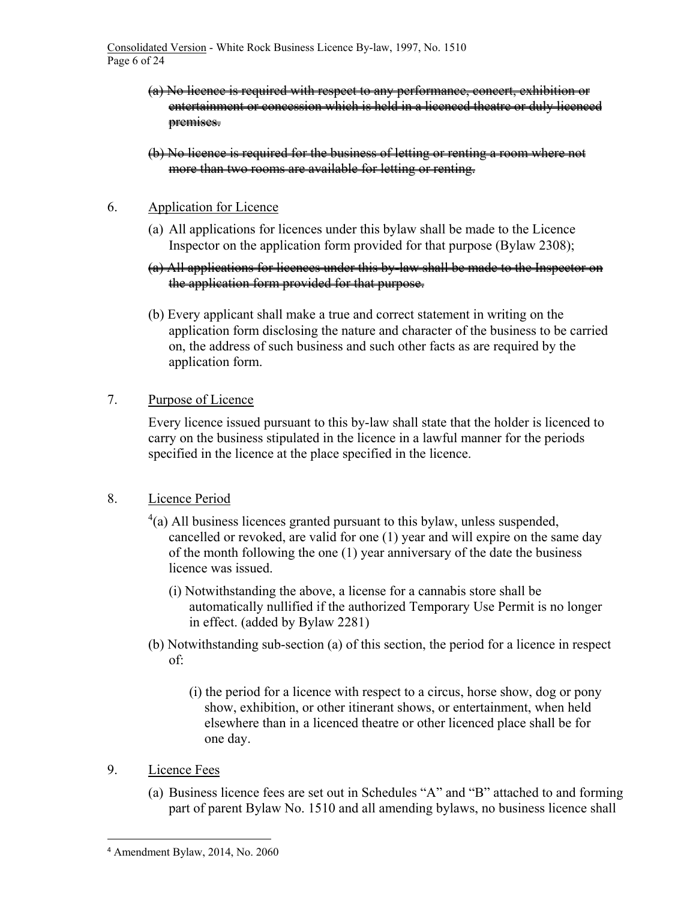- (a) No licence is required with respect to any performance, concert, exhibition or entertainment or concession which is held in a licenced theatre or duly licenced premises.
- (b) No licence is required for the business of letting or renting a room where not more than two rooms are available for letting or renting.

### 6. Application for Licence

- (a) All applications for licences under this bylaw shall be made to the Licence Inspector on the application form provided for that purpose (Bylaw 2308);
- (a) All applications for licences under this by-law shall be made to the Inspector on the application form provided for that purpose.
- (b) Every applicant shall make a true and correct statement in writing on the application form disclosing the nature and character of the business to be carried on, the address of such business and such other facts as are required by the application form.

# 7. Purpose of Licence

Every licence issued pursuant to this by-law shall state that the holder is licenced to carry on the business stipulated in the licence in a lawful manner for the periods specified in the licence at the place specified in the licence.

# 8. Licence Period

- $4$ (a) All business licences granted pursuant to this bylaw, unless suspended, cancelled or revoked, are valid for one (1) year and will expire on the same day of the month following the one (1) year anniversary of the date the business licence was issued.
	- (i) Notwithstanding the above, a license for a cannabis store shall be automatically nullified if the authorized Temporary Use Permit is no longer in effect. (added by Bylaw 2281)
- (b) Notwithstanding sub-section (a) of this section, the period for a licence in respect of:
	- (i) the period for a licence with respect to a circus, horse show, dog or pony show, exhibition, or other itinerant shows, or entertainment, when held elsewhere than in a licenced theatre or other licenced place shall be for one day.
- 9. Licence Fees
	- (a) Business licence fees are set out in Schedules "A" and "B" attached to and forming part of parent Bylaw No. 1510 and all amending bylaws, no business licence shall

 <sup>4</sup> Amendment Bylaw, 2014, No. 2060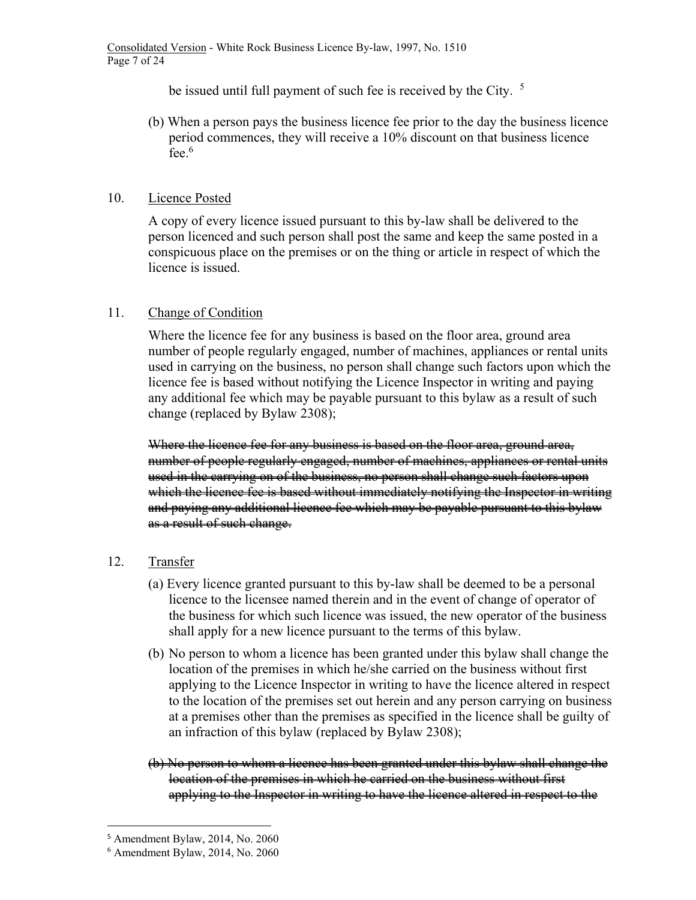be issued until full payment of such fee is received by the City. <sup>5</sup>

(b) When a person pays the business licence fee prior to the day the business licence period commences, they will receive a 10% discount on that business licence fee.<sup>6</sup>

### 10. Licence Posted

A copy of every licence issued pursuant to this by-law shall be delivered to the person licenced and such person shall post the same and keep the same posted in a conspicuous place on the premises or on the thing or article in respect of which the licence is issued.

# 11. Change of Condition

Where the licence fee for any business is based on the floor area, ground area number of people regularly engaged, number of machines, appliances or rental units used in carrying on the business, no person shall change such factors upon which the licence fee is based without notifying the Licence Inspector in writing and paying any additional fee which may be payable pursuant to this bylaw as a result of such change (replaced by Bylaw 2308);

Where the licence fee for any business is based on the floor area, ground area, number of people regularly engaged, number of machines, appliances or rental units used in the carrying on of the business, no person shall change such factors upon which the licence fee is based without immediately notifying the Inspector in writing and paying any additional licence fee which may be payable pursuant to this bylaw as a result of such change.

# 12. Transfer

- (a) Every licence granted pursuant to this by-law shall be deemed to be a personal licence to the licensee named therein and in the event of change of operator of the business for which such licence was issued, the new operator of the business shall apply for a new licence pursuant to the terms of this bylaw.
- (b) No person to whom a licence has been granted under this bylaw shall change the location of the premises in which he/she carried on the business without first applying to the Licence Inspector in writing to have the licence altered in respect to the location of the premises set out herein and any person carrying on business at a premises other than the premises as specified in the licence shall be guilty of an infraction of this bylaw (replaced by Bylaw 2308);
- (b) No person to whom a licence has been granted under this bylaw shall change the location of the premises in which he carried on the business without first applying to the Inspector in writing to have the licence altered in respect to the

 <sup>5</sup> Amendment Bylaw, 2014, No. 2060

<sup>6</sup> Amendment Bylaw, 2014, No. 2060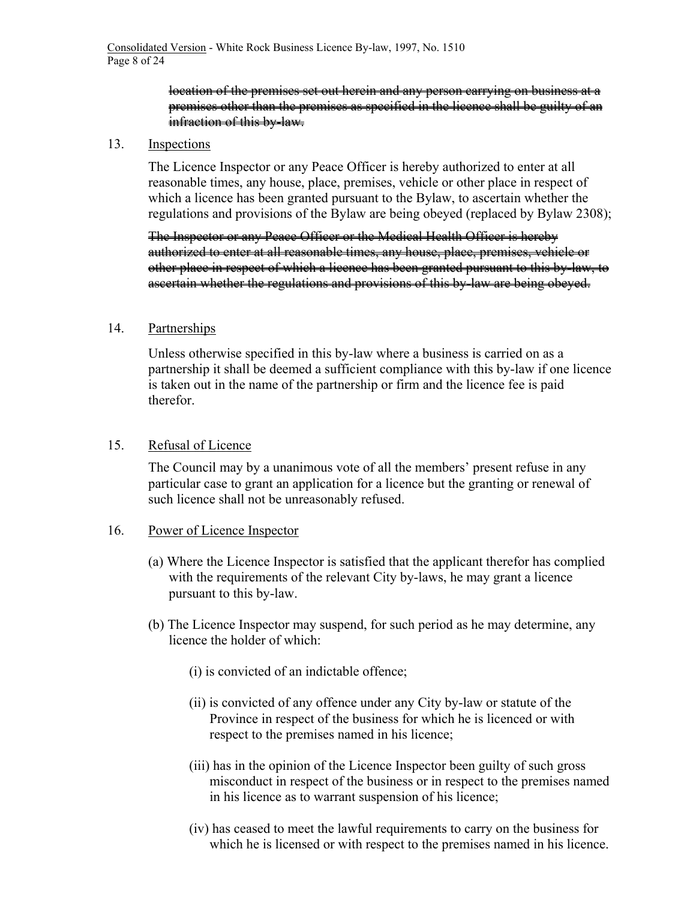### location of the premises set out herein and any person carrying on business at a premises other than the premises as specified in the licence shall be guilty of an infraction of this by-law.

#### 13. Inspections

The Licence Inspector or any Peace Officer is hereby authorized to enter at all reasonable times, any house, place, premises, vehicle or other place in respect of which a licence has been granted pursuant to the Bylaw, to ascertain whether the regulations and provisions of the Bylaw are being obeyed (replaced by Bylaw 2308);

The Inspector or any Peace Officer or the Medical Health Officer is hereby authorized to enter at all reasonable times, any house, place, premises, vehicle or other place in respect of which a licence has been granted pursuant to this by-law, to ascertain whether the regulations and provisions of this by-law are being obeyed.

#### 14. Partnerships

Unless otherwise specified in this by-law where a business is carried on as a partnership it shall be deemed a sufficient compliance with this by-law if one licence is taken out in the name of the partnership or firm and the licence fee is paid therefor.

#### 15. Refusal of Licence

The Council may by a unanimous vote of all the members' present refuse in any particular case to grant an application for a licence but the granting or renewal of such licence shall not be unreasonably refused.

#### 16. Power of Licence Inspector

- (a) Where the Licence Inspector is satisfied that the applicant therefor has complied with the requirements of the relevant City by-laws, he may grant a licence pursuant to this by-law.
- (b) The Licence Inspector may suspend, for such period as he may determine, any licence the holder of which:
	- (i) is convicted of an indictable offence;
	- (ii) is convicted of any offence under any City by-law or statute of the Province in respect of the business for which he is licenced or with respect to the premises named in his licence;
	- (iii) has in the opinion of the Licence Inspector been guilty of such gross misconduct in respect of the business or in respect to the premises named in his licence as to warrant suspension of his licence;
	- (iv) has ceased to meet the lawful requirements to carry on the business for which he is licensed or with respect to the premises named in his licence.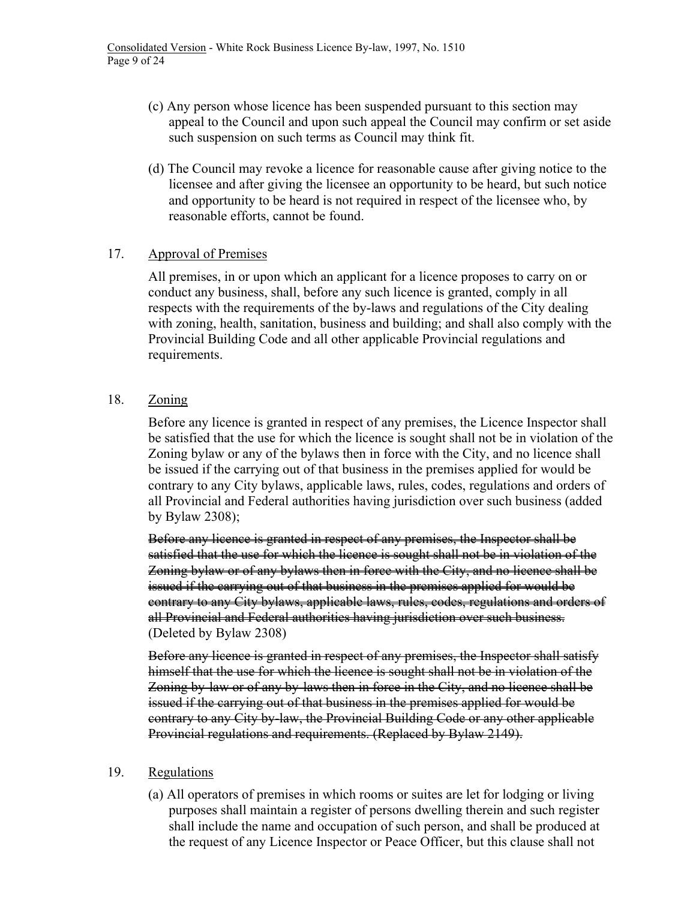- (c) Any person whose licence has been suspended pursuant to this section may appeal to the Council and upon such appeal the Council may confirm or set aside such suspension on such terms as Council may think fit.
- (d) The Council may revoke a licence for reasonable cause after giving notice to the licensee and after giving the licensee an opportunity to be heard, but such notice and opportunity to be heard is not required in respect of the licensee who, by reasonable efforts, cannot be found.

### 17. Approval of Premises

All premises, in or upon which an applicant for a licence proposes to carry on or conduct any business, shall, before any such licence is granted, comply in all respects with the requirements of the by-laws and regulations of the City dealing with zoning, health, sanitation, business and building; and shall also comply with the Provincial Building Code and all other applicable Provincial regulations and requirements.

# 18. Zoning

Before any licence is granted in respect of any premises, the Licence Inspector shall be satisfied that the use for which the licence is sought shall not be in violation of the Zoning bylaw or any of the bylaws then in force with the City, and no licence shall be issued if the carrying out of that business in the premises applied for would be contrary to any City bylaws, applicable laws, rules, codes, regulations and orders of all Provincial and Federal authorities having jurisdiction over such business (added by Bylaw 2308);

Before any licence is granted in respect of any premises, the Inspector shall be satisfied that the use for which the licence is sought shall not be in violation of the Zoning bylaw or of any bylaws then in force with the City, and no licence shall be issued if the carrying out of that business in the premises applied for would be contrary to any City bylaws, applicable laws, rules, codes, regulations and orders of all Provincial and Federal authorities having jurisdiction over such business. (Deleted by Bylaw 2308)

Before any licence is granted in respect of any premises, the Inspector shall satisfy himself that the use for which the licence is sought shall not be in violation of the Zoning by-law or of any by-laws then in force in the City, and no licence shall be issued if the carrying out of that business in the premises applied for would be contrary to any City by-law, the Provincial Building Code or any other applicable Provincial regulations and requirements. (Replaced by Bylaw 2149).

### 19. Regulations

(a) All operators of premises in which rooms or suites are let for lodging or living purposes shall maintain a register of persons dwelling therein and such register shall include the name and occupation of such person, and shall be produced at the request of any Licence Inspector or Peace Officer, but this clause shall not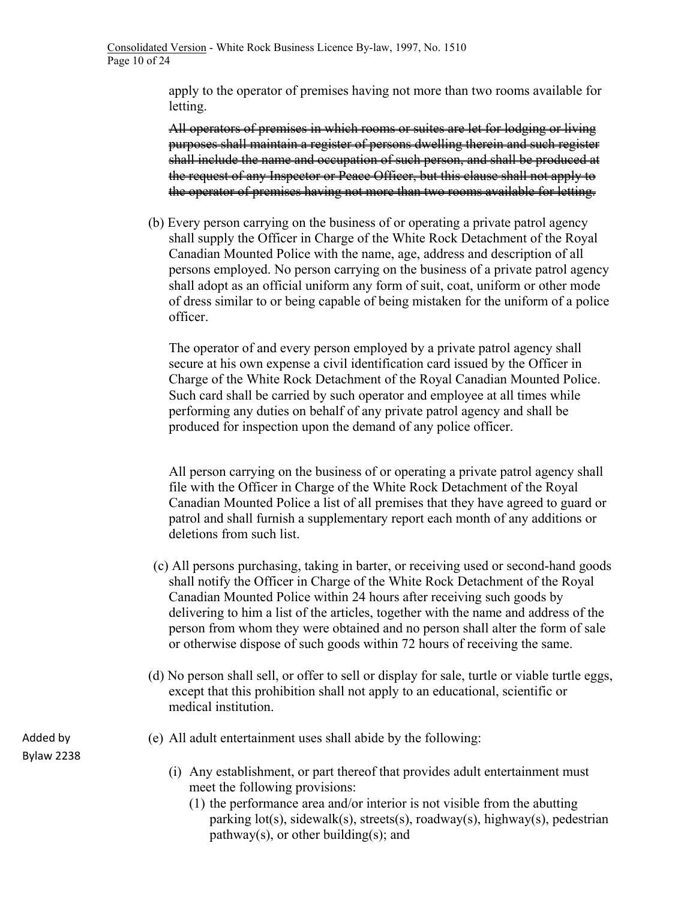apply to the operator of premises having not more than two rooms available for letting.

All operators of premises in which rooms or suites are let for lodging or living purposes shall maintain a register of persons dwelling therein and such register shall include the name and occupation of such person, and shall be produced at the request of any Inspector or Peace Officer, but this clause shall not apply to the operator of premises having not more than two rooms available for letting.

(b) Every person carrying on the business of or operating a private patrol agency shall supply the Officer in Charge of the White Rock Detachment of the Royal Canadian Mounted Police with the name, age, address and description of all persons employed. No person carrying on the business of a private patrol agency shall adopt as an official uniform any form of suit, coat, uniform or other mode of dress similar to or being capable of being mistaken for the uniform of a police officer.

The operator of and every person employed by a private patrol agency shall secure at his own expense a civil identification card issued by the Officer in Charge of the White Rock Detachment of the Royal Canadian Mounted Police. Such card shall be carried by such operator and employee at all times while performing any duties on behalf of any private patrol agency and shall be produced for inspection upon the demand of any police officer.

All person carrying on the business of or operating a private patrol agency shall file with the Officer in Charge of the White Rock Detachment of the Royal Canadian Mounted Police a list of all premises that they have agreed to guard or patrol and shall furnish a supplementary report each month of any additions or deletions from such list.

- (c) All persons purchasing, taking in barter, or receiving used or second-hand goods shall notify the Officer in Charge of the White Rock Detachment of the Royal Canadian Mounted Police within 24 hours after receiving such goods by delivering to him a list of the articles, together with the name and address of the person from whom they were obtained and no person shall alter the form of sale or otherwise dispose of such goods within 72 hours of receiving the same.
- (d) No person shall sell, or offer to sell or display for sale, turtle or viable turtle eggs, except that this prohibition shall not apply to an educational, scientific or medical institution.
- (e) All adult entertainment uses shall abide by the following:
	- (i) Any establishment, or part thereof that provides adult entertainment must meet the following provisions:
		- (1) the performance area and/or interior is not visible from the abutting parking lot(s), sidewalk(s), streets(s), roadway(s), highway(s), pedestrian pathway(s), or other building(s); and

Added by Bylaw 2238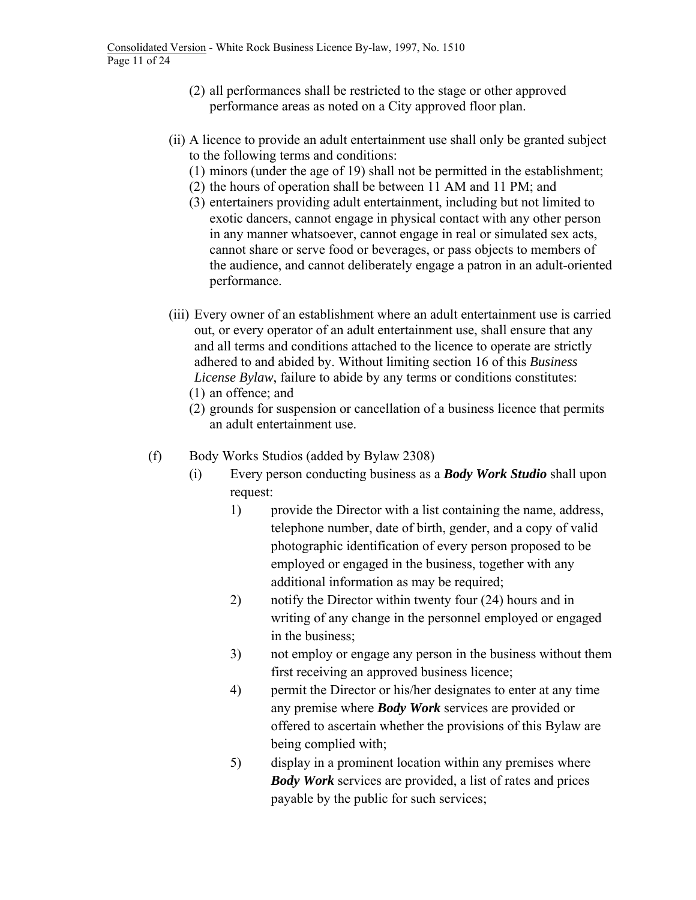- (2) all performances shall be restricted to the stage or other approved performance areas as noted on a City approved floor plan.
- (ii) A licence to provide an adult entertainment use shall only be granted subject to the following terms and conditions:
	- (1) minors (under the age of 19) shall not be permitted in the establishment;
	- (2) the hours of operation shall be between 11 AM and 11 PM; and
	- (3) entertainers providing adult entertainment, including but not limited to exotic dancers, cannot engage in physical contact with any other person in any manner whatsoever, cannot engage in real or simulated sex acts, cannot share or serve food or beverages, or pass objects to members of the audience, and cannot deliberately engage a patron in an adult-oriented performance.
- (iii) Every owner of an establishment where an adult entertainment use is carried out, or every operator of an adult entertainment use, shall ensure that any and all terms and conditions attached to the licence to operate are strictly adhered to and abided by. Without limiting section 16 of this *Business License Bylaw*, failure to abide by any terms or conditions constitutes: (1) an offence; and
	- (2) grounds for suspension or cancellation of a business licence that permits an adult entertainment use.
- (f) Body Works Studios (added by Bylaw 2308)
	- (i) Every person conducting business as a *Body Work Studio* shall upon request:
		- 1) provide the Director with a list containing the name, address, telephone number, date of birth, gender, and a copy of valid photographic identification of every person proposed to be employed or engaged in the business, together with any additional information as may be required;
		- 2) notify the Director within twenty four (24) hours and in writing of any change in the personnel employed or engaged in the business;
		- 3) not employ or engage any person in the business without them first receiving an approved business licence;
		- 4) permit the Director or his/her designates to enter at any time any premise where *Body Work* services are provided or offered to ascertain whether the provisions of this Bylaw are being complied with;
		- 5) display in a prominent location within any premises where *Body Work* services are provided, a list of rates and prices payable by the public for such services;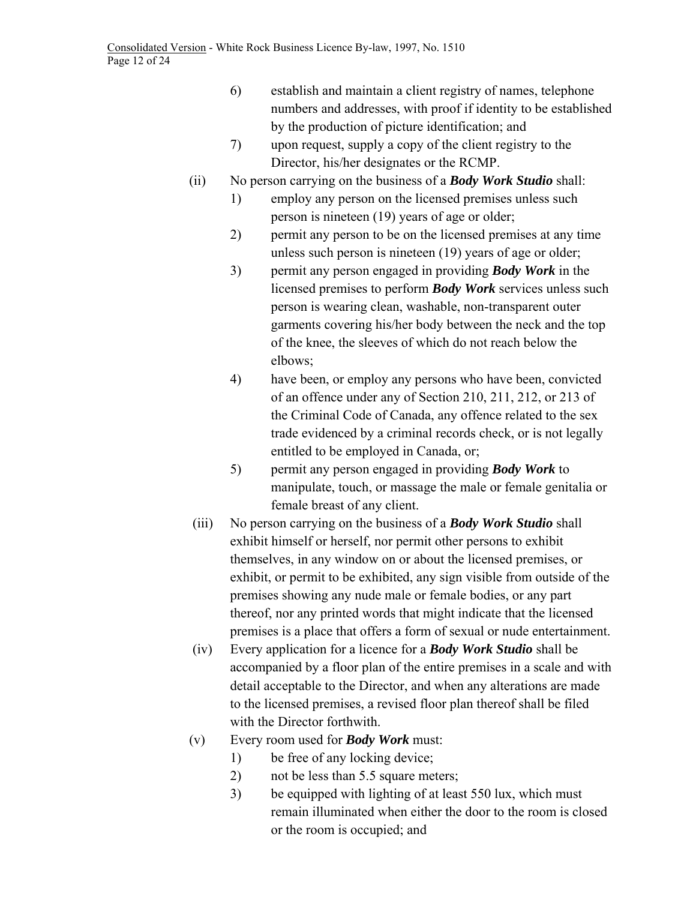Consolidated Version - White Rock Business Licence By-law, 1997, No. 1510 Page 12 of 24

- 6) establish and maintain a client registry of names, telephone numbers and addresses, with proof if identity to be established by the production of picture identification; and
- 7) upon request, supply a copy of the client registry to the Director, his/her designates or the RCMP.
- (ii) No person carrying on the business of a *Body Work Studio* shall:
	- 1) employ any person on the licensed premises unless such person is nineteen (19) years of age or older;
	- 2) permit any person to be on the licensed premises at any time unless such person is nineteen (19) years of age or older;
	- 3) permit any person engaged in providing *Body Work* in the licensed premises to perform *Body Work* services unless such person is wearing clean, washable, non-transparent outer garments covering his/her body between the neck and the top of the knee, the sleeves of which do not reach below the elbows;
	- 4) have been, or employ any persons who have been, convicted of an offence under any of Section 210, 211, 212, or 213 of the Criminal Code of Canada, any offence related to the sex trade evidenced by a criminal records check, or is not legally entitled to be employed in Canada, or;
	- 5) permit any person engaged in providing *Body Work* to manipulate, touch, or massage the male or female genitalia or female breast of any client.
- (iii) No person carrying on the business of a *Body Work Studio* shall exhibit himself or herself, nor permit other persons to exhibit themselves, in any window on or about the licensed premises, or exhibit, or permit to be exhibited, any sign visible from outside of the premises showing any nude male or female bodies, or any part thereof, nor any printed words that might indicate that the licensed premises is a place that offers a form of sexual or nude entertainment.
- (iv) Every application for a licence for a *Body Work Studio* shall be accompanied by a floor plan of the entire premises in a scale and with detail acceptable to the Director, and when any alterations are made to the licensed premises, a revised floor plan thereof shall be filed with the Director forthwith.
- (v) Every room used for *Body Work* must:
	- 1) be free of any locking device;
	- 2) not be less than 5.5 square meters;
	- 3) be equipped with lighting of at least 550 lux, which must remain illuminated when either the door to the room is closed or the room is occupied; and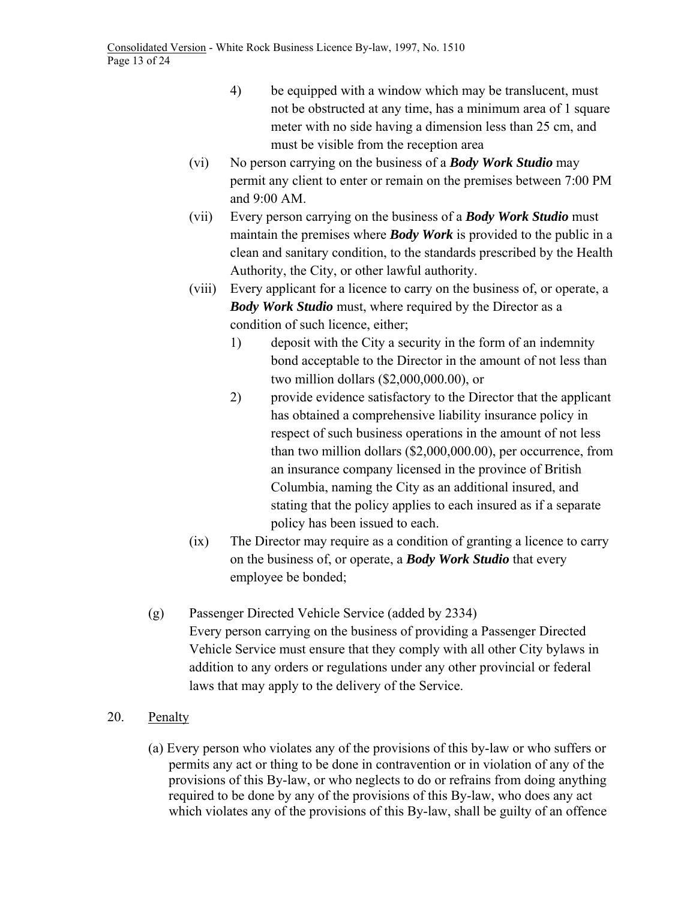- 4) be equipped with a window which may be translucent, must not be obstructed at any time, has a minimum area of 1 square meter with no side having a dimension less than 25 cm, and must be visible from the reception area
- (vi) No person carrying on the business of a *Body Work Studio* may permit any client to enter or remain on the premises between 7:00 PM and 9:00 AM.
- (vii) Every person carrying on the business of a *Body Work Studio* must maintain the premises where *Body Work* is provided to the public in a clean and sanitary condition, to the standards prescribed by the Health Authority, the City, or other lawful authority.
- (viii) Every applicant for a licence to carry on the business of, or operate, a *Body Work Studio* must, where required by the Director as a condition of such licence, either;
	- 1) deposit with the City a security in the form of an indemnity bond acceptable to the Director in the amount of not less than two million dollars (\$2,000,000.00), or
	- 2) provide evidence satisfactory to the Director that the applicant has obtained a comprehensive liability insurance policy in respect of such business operations in the amount of not less than two million dollars (\$2,000,000.00), per occurrence, from an insurance company licensed in the province of British Columbia, naming the City as an additional insured, and stating that the policy applies to each insured as if a separate policy has been issued to each.
- (ix) The Director may require as a condition of granting a licence to carry on the business of, or operate, a *Body Work Studio* that every employee be bonded;
- (g) Passenger Directed Vehicle Service (added by 2334) Every person carrying on the business of providing a Passenger Directed Vehicle Service must ensure that they comply with all other City bylaws in addition to any orders or regulations under any other provincial or federal laws that may apply to the delivery of the Service.
- 20. Penalty
	- (a) Every person who violates any of the provisions of this by-law or who suffers or permits any act or thing to be done in contravention or in violation of any of the provisions of this By-law, or who neglects to do or refrains from doing anything required to be done by any of the provisions of this By-law, who does any act which violates any of the provisions of this By-law, shall be guilty of an offence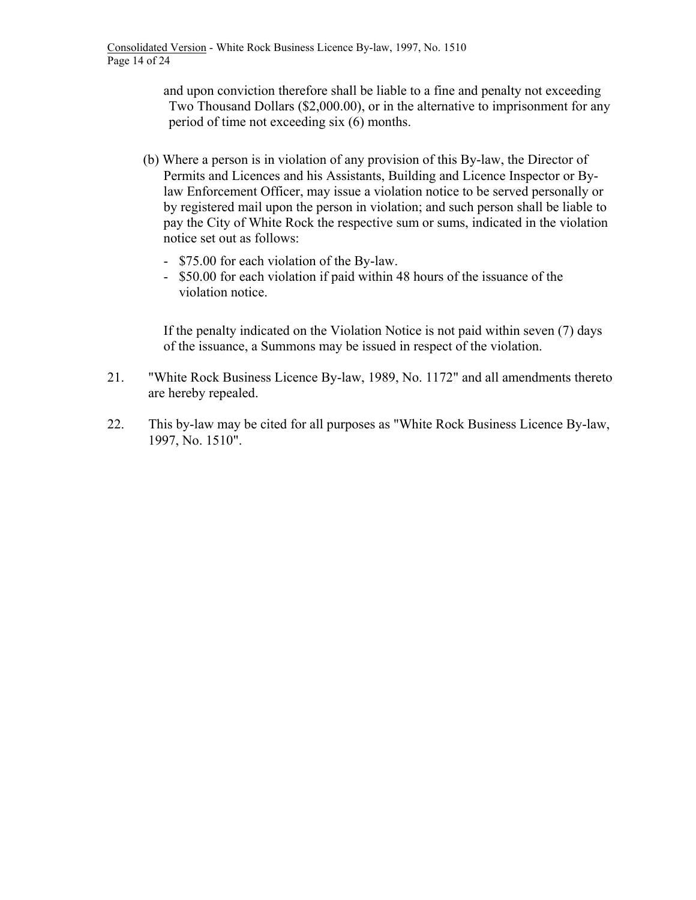and upon conviction therefore shall be liable to a fine and penalty not exceeding Two Thousand Dollars (\$2,000.00), or in the alternative to imprisonment for any period of time not exceeding six (6) months.

- (b) Where a person is in violation of any provision of this By-law, the Director of Permits and Licences and his Assistants, Building and Licence Inspector or Bylaw Enforcement Officer, may issue a violation notice to be served personally or by registered mail upon the person in violation; and such person shall be liable to pay the City of White Rock the respective sum or sums, indicated in the violation notice set out as follows:
	- \$75.00 for each violation of the By-law.
	- \$50.00 for each violation if paid within 48 hours of the issuance of the violation notice.

If the penalty indicated on the Violation Notice is not paid within seven (7) days of the issuance, a Summons may be issued in respect of the violation.

- 21. "White Rock Business Licence By-law, 1989, No. 1172" and all amendments thereto are hereby repealed.
- 22. This by-law may be cited for all purposes as "White Rock Business Licence By-law, 1997, No. 1510".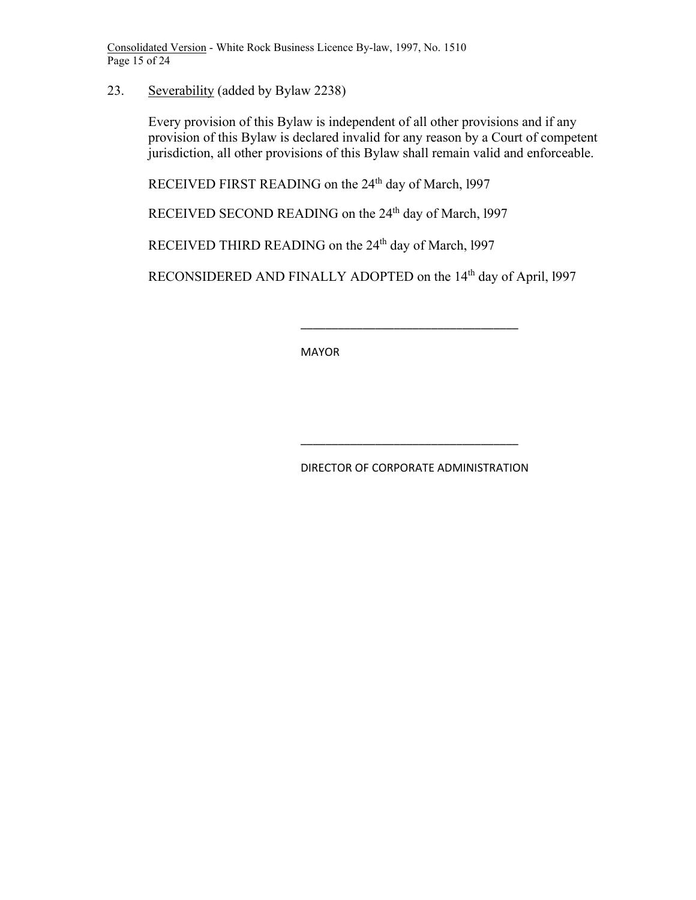Consolidated Version - White Rock Business Licence By-law, 1997, No. 1510 Page 15 of 24

23. Severability (added by Bylaw 2238)

Every provision of this Bylaw is independent of all other provisions and if any provision of this Bylaw is declared invalid for any reason by a Court of competent jurisdiction, all other provisions of this Bylaw shall remain valid and enforceable.

RECEIVED FIRST READING on the 24<sup>th</sup> day of March, 1997

RECEIVED SECOND READING on the 24<sup>th</sup> day of March, 1997

RECEIVED THIRD READING on the 24<sup>th</sup> day of March, 1997

RECONSIDERED AND FINALLY ADOPTED on the 14<sup>th</sup> day of April, 1997

MAYOR

 $\overline{\phantom{a}}$  ,  $\overline{\phantom{a}}$  ,  $\overline{\phantom{a}}$  ,  $\overline{\phantom{a}}$  ,  $\overline{\phantom{a}}$  ,  $\overline{\phantom{a}}$  ,  $\overline{\phantom{a}}$  ,  $\overline{\phantom{a}}$  ,  $\overline{\phantom{a}}$  ,  $\overline{\phantom{a}}$  ,  $\overline{\phantom{a}}$  ,  $\overline{\phantom{a}}$  ,  $\overline{\phantom{a}}$  ,  $\overline{\phantom{a}}$  ,  $\overline{\phantom{a}}$  ,  $\overline{\phantom{a}}$ 

 $\overline{\phantom{a}}$  ,  $\overline{\phantom{a}}$  ,  $\overline{\phantom{a}}$  ,  $\overline{\phantom{a}}$  ,  $\overline{\phantom{a}}$  ,  $\overline{\phantom{a}}$  ,  $\overline{\phantom{a}}$  ,  $\overline{\phantom{a}}$  ,  $\overline{\phantom{a}}$  ,  $\overline{\phantom{a}}$  ,  $\overline{\phantom{a}}$  ,  $\overline{\phantom{a}}$  ,  $\overline{\phantom{a}}$  ,  $\overline{\phantom{a}}$  ,  $\overline{\phantom{a}}$  ,  $\overline{\phantom{a}}$ 

DIRECTOR OF CORPORATE ADMINISTRATION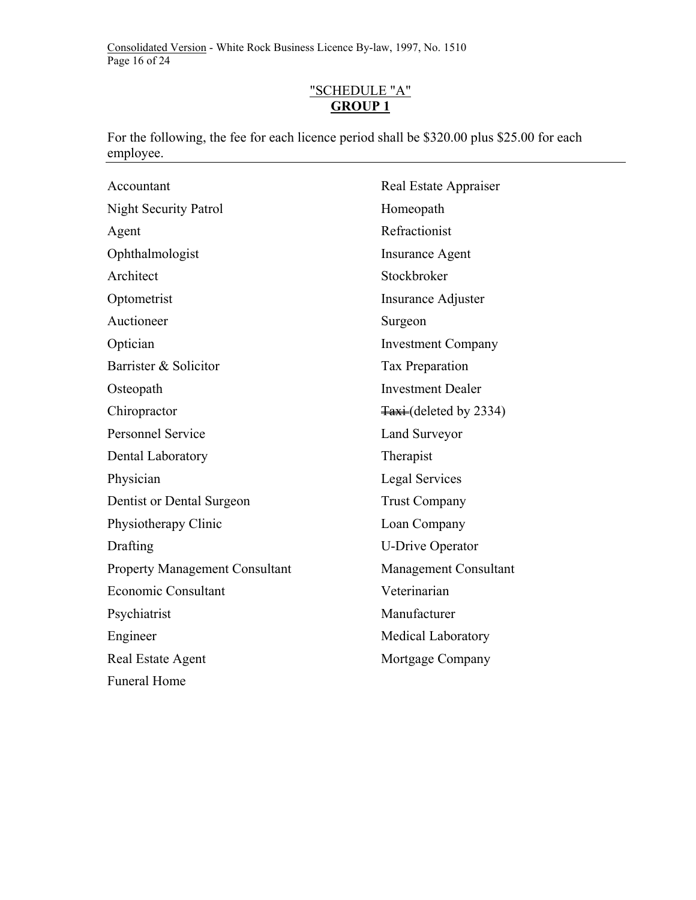Consolidated Version - White Rock Business Licence By-law, 1997, No. 1510 Page 16 of 24

# "SCHEDULE "A" **GROUP 1**

For the following, the fee for each licence period shall be \$320.00 plus \$25.00 for each employee.

| Accountant                            | Real Estate Appraiser           |
|---------------------------------------|---------------------------------|
| <b>Night Security Patrol</b>          | Homeopath                       |
| Agent                                 | Refractionist                   |
| Ophthalmologist                       | <b>Insurance Agent</b>          |
| Architect                             | Stockbroker                     |
| Optometrist                           | Insurance Adjuster              |
| Auctioneer                            | Surgeon                         |
| Optician                              | <b>Investment Company</b>       |
| Barrister & Solicitor                 | Tax Preparation                 |
| Osteopath                             | <b>Investment Dealer</b>        |
| Chiropractor                          | $\frac{1}{4}$ (deleted by 2334) |
| <b>Personnel Service</b>              | Land Surveyor                   |
| Dental Laboratory                     | Therapist                       |
| Physician                             | Legal Services                  |
| Dentist or Dental Surgeon             | <b>Trust Company</b>            |
| Physiotherapy Clinic                  | Loan Company                    |
| Drafting                              | <b>U-Drive Operator</b>         |
| <b>Property Management Consultant</b> | Management Consultant           |
| <b>Economic Consultant</b>            | Veterinarian                    |
| Psychiatrist                          | Manufacturer                    |
| Engineer                              | <b>Medical Laboratory</b>       |
| Real Estate Agent                     | Mortgage Company                |
| <b>Funeral Home</b>                   |                                 |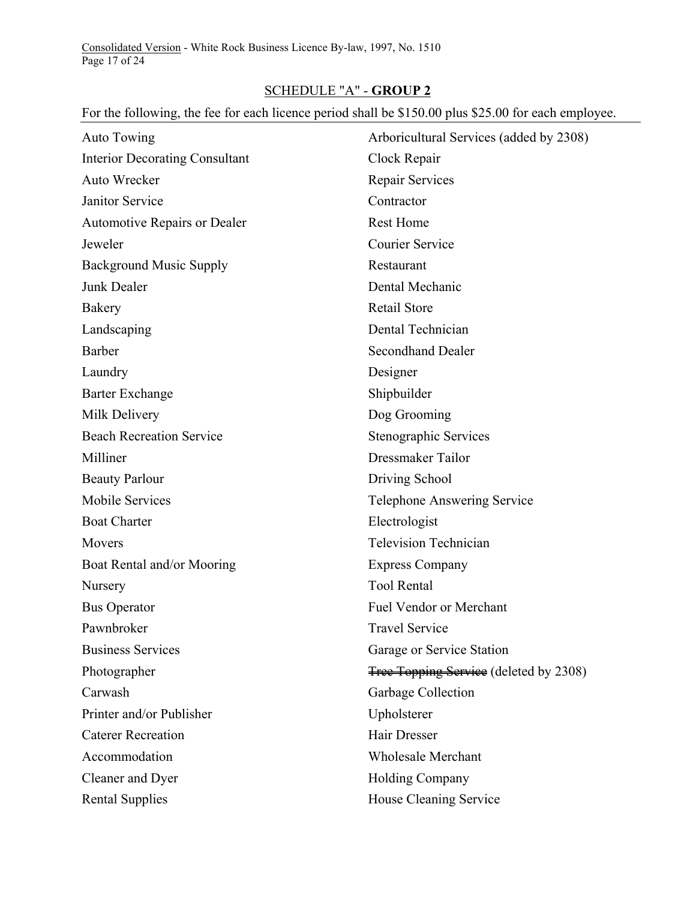Consolidated Version - White Rock Business Licence By-law, 1997, No. 1510 Page 17 of 24

# SCHEDULE "A" - **GROUP 2**

# For the following, the fee for each licence period shall be \$150.00 plus \$25.00 for each employee.

| Auto Towing                           | Arboricultural Services (added by 2308) |
|---------------------------------------|-----------------------------------------|
| <b>Interior Decorating Consultant</b> | Clock Repair                            |
| Auto Wrecker                          | Repair Services                         |
| <b>Janitor Service</b>                | Contractor                              |
| <b>Automotive Repairs or Dealer</b>   | <b>Rest Home</b>                        |
| Jeweler                               | <b>Courier Service</b>                  |
| <b>Background Music Supply</b>        | Restaurant                              |
| Junk Dealer                           | Dental Mechanic                         |
| Bakery                                | <b>Retail Store</b>                     |
| Landscaping                           | Dental Technician                       |
| Barber                                | <b>Secondhand Dealer</b>                |
| Laundry                               | Designer                                |
| <b>Barter Exchange</b>                | Shipbuilder                             |
| Milk Delivery                         | Dog Grooming                            |
| <b>Beach Recreation Service</b>       | Stenographic Services                   |
| Milliner                              | Dressmaker Tailor                       |
| <b>Beauty Parlour</b>                 | Driving School                          |
| Mobile Services                       | <b>Telephone Answering Service</b>      |
| <b>Boat Charter</b>                   | Electrologist                           |
| <b>Movers</b>                         | <b>Television Technician</b>            |
| Boat Rental and/or Mooring            | <b>Express Company</b>                  |
| Nursery                               | <b>Tool Rental</b>                      |
| <b>Bus Operator</b>                   | Fuel Vendor or Merchant                 |
| Pawnbroker                            | <b>Travel Service</b>                   |
| <b>Business Services</b>              | Garage or Service Station               |
| Photographer                          | Free Topping Service (deleted by 2308)  |
| Carwash                               | Garbage Collection                      |
| Printer and/or Publisher              | Upholsterer                             |
| <b>Caterer Recreation</b>             | Hair Dresser                            |
| Accommodation                         | <b>Wholesale Merchant</b>               |
| Cleaner and Dyer                      | <b>Holding Company</b>                  |
| <b>Rental Supplies</b>                | House Cleaning Service                  |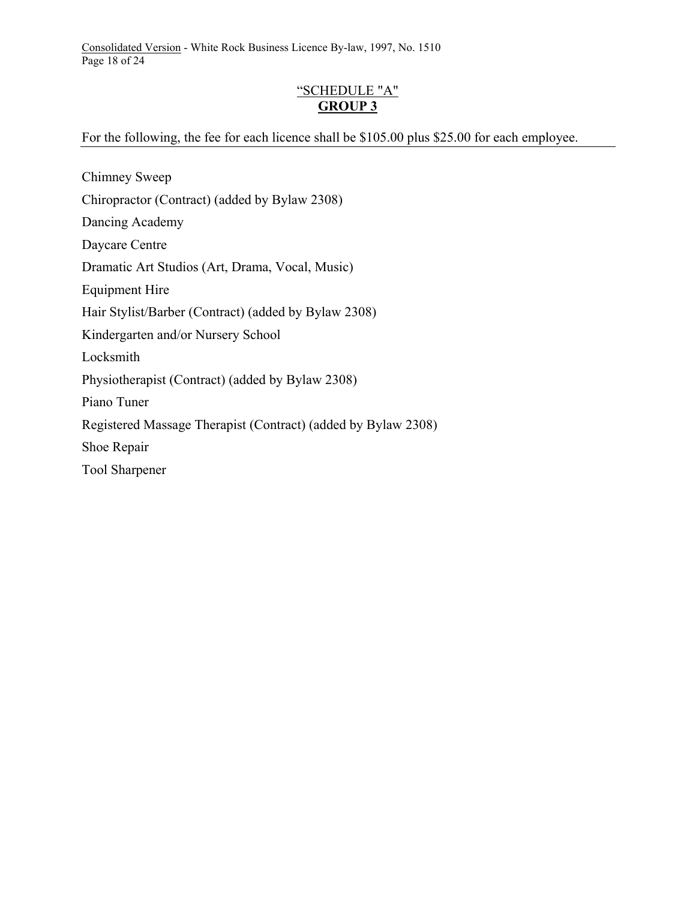Consolidated Version - White Rock Business Licence By-law, 1997, No. 1510 Page 18 of 24

# "SCHEDULE "A" **GROUP 3**

### For the following, the fee for each licence shall be \$105.00 plus \$25.00 for each employee.

Chimney Sweep Chiropractor (Contract) (added by Bylaw 2308) Dancing Academy Daycare Centre Dramatic Art Studios (Art, Drama, Vocal, Music) Equipment Hire Hair Stylist/Barber (Contract) (added by Bylaw 2308) Kindergarten and/or Nursery School Locksmith Physiotherapist (Contract) (added by Bylaw 2308) Piano Tuner Registered Massage Therapist (Contract) (added by Bylaw 2308) Shoe Repair Tool Sharpener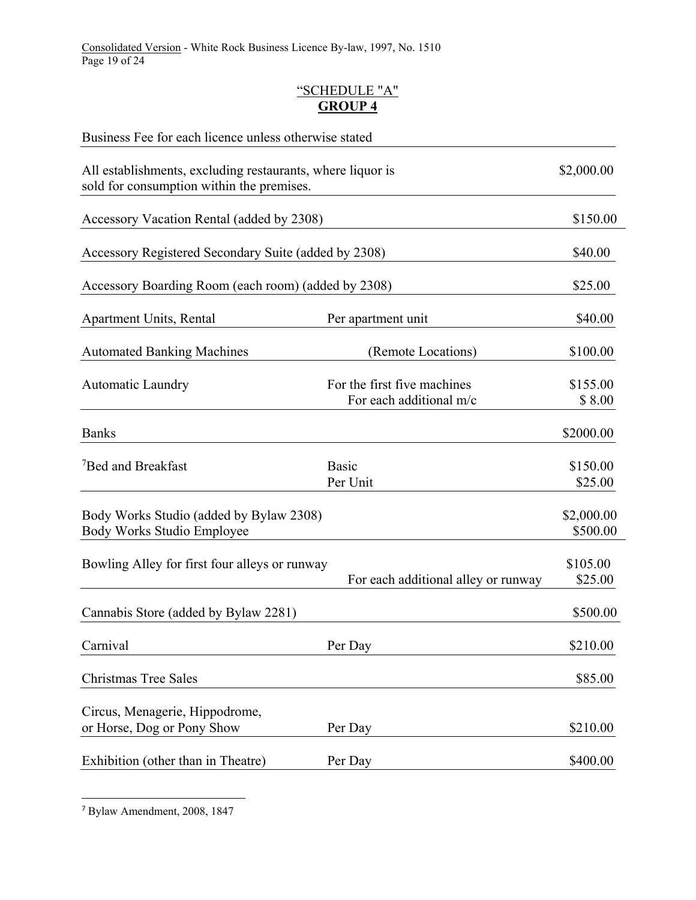# "SCHEDULE "A" **GROUP 4**

| Business Fee for each licence unless otherwise stated                                                   |                                                        |                        |
|---------------------------------------------------------------------------------------------------------|--------------------------------------------------------|------------------------|
| All establishments, excluding restaurants, where liquor is<br>sold for consumption within the premises. |                                                        | \$2,000.00             |
| Accessory Vacation Rental (added by 2308)                                                               |                                                        | \$150.00               |
| Accessory Registered Secondary Suite (added by 2308)                                                    |                                                        | \$40.00                |
| Accessory Boarding Room (each room) (added by 2308)                                                     |                                                        | \$25.00                |
| <b>Apartment Units, Rental</b>                                                                          | Per apartment unit                                     | \$40.00                |
| <b>Automated Banking Machines</b>                                                                       | (Remote Locations)                                     | \$100.00               |
| <b>Automatic Laundry</b>                                                                                | For the first five machines<br>For each additional m/c | \$155.00<br>\$8.00     |
| <b>Banks</b>                                                                                            |                                                        | \$2000.00              |
| <sup>7</sup> Bed and Breakfast                                                                          | <b>Basic</b><br>Per Unit                               | \$150.00<br>\$25.00    |
| Body Works Studio (added by Bylaw 2308)<br>Body Works Studio Employee                                   |                                                        | \$2,000.00<br>\$500.00 |
| Bowling Alley for first four alleys or runway                                                           | For each additional alley or runway                    | \$105.00<br>\$25.00    |
| Cannabis Store (added by Bylaw 2281)                                                                    |                                                        | \$500.00               |
| Carnival                                                                                                | Per Day                                                | \$210.00               |
| <b>Christmas Tree Sales</b>                                                                             |                                                        | \$85.00                |
| Circus, Menagerie, Hippodrome,<br>or Horse, Dog or Pony Show                                            | Per Day                                                | \$210.00               |
| Exhibition (other than in Theatre)                                                                      | Per Day                                                | \$400.00               |

 <sup>7</sup> Bylaw Amendment, 2008, 1847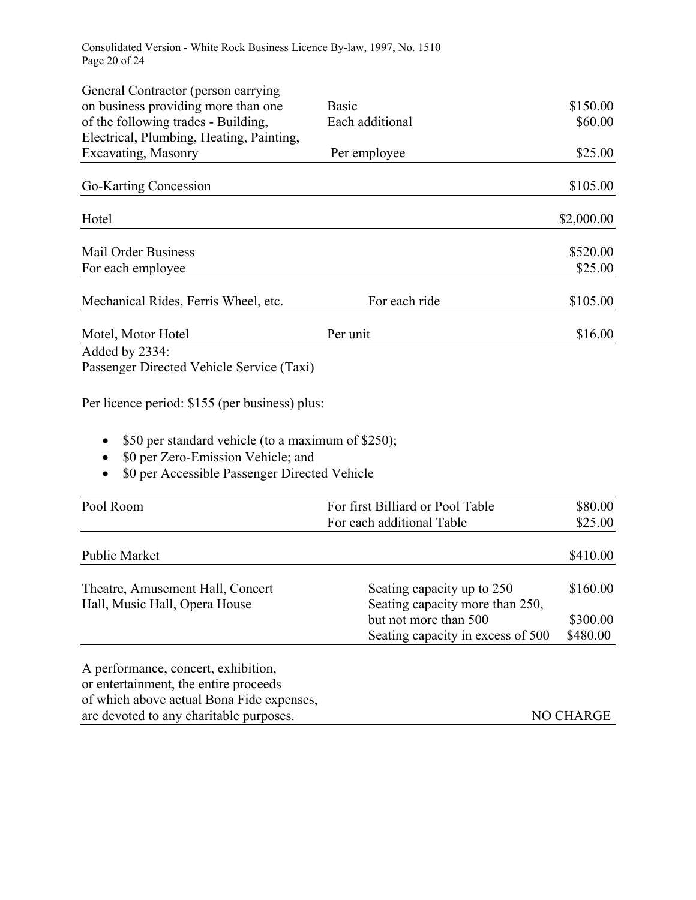Consolidated Version - White Rock Business Licence By-law, 1997, No. 1510 Page 20 of 24

| General Contractor (person carrying                |                                   |            |
|----------------------------------------------------|-----------------------------------|------------|
| on business providing more than one                | <b>Basic</b>                      | \$150.00   |
| of the following trades - Building,                | Each additional                   | \$60.00    |
| Electrical, Plumbing, Heating, Painting,           |                                   |            |
| Excavating, Masonry                                | Per employee                      | \$25.00    |
| Go-Karting Concession                              |                                   | \$105.00   |
| Hotel                                              |                                   | \$2,000.00 |
| <b>Mail Order Business</b>                         |                                   | \$520.00   |
| For each employee                                  |                                   | \$25.00    |
| Mechanical Rides, Ferris Wheel, etc.               | For each ride                     | \$105.00   |
| Motel, Motor Hotel                                 | Per unit                          | \$16.00    |
| Added by 2334:                                     |                                   |            |
| Passenger Directed Vehicle Service (Taxi)          |                                   |            |
| Per licence period: \$155 (per business) plus:     |                                   |            |
| \$50 per standard vehicle (to a maximum of \$250); |                                   |            |
| \$0 per Zero-Emission Vehicle; and                 |                                   |            |
| \$0 per Accessible Passenger Directed Vehicle      |                                   |            |
| Pool Room                                          | For first Billiard or Pool Table  | \$80.00    |
|                                                    | For each additional Table         | \$25.00    |
| Public Market                                      |                                   | \$410.00   |
| Theatre, Amusement Hall, Concert                   | Seating capacity up to 250        | \$160.00   |
| Hall, Music Hall, Opera House                      | Seating capacity more than 250,   |            |
|                                                    | but not more than 500             | \$300.00   |
|                                                    | Seating capacity in excess of 500 | \$480.00   |
| A performance, concert, exhibition,                |                                   |            |
| or entertainment, the entire proceeds              |                                   |            |
| of which above actual Bona Fide expenses,          |                                   |            |
| are devoted to any charitable purposes.            |                                   | NO CHARGE  |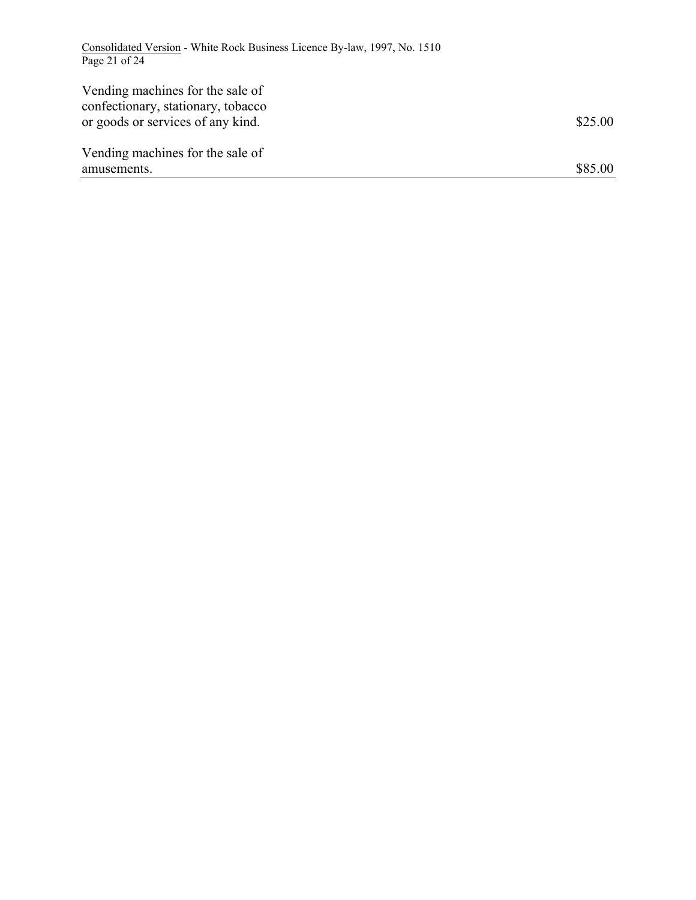Consolidated Version - White Rock Business Licence By-law, 1997, No. 1510 Page 21 of 24

| Vending machines for the sale of<br>confectionary, stationary, tobacco<br>or goods or services of any kind. | \$25.00 |
|-------------------------------------------------------------------------------------------------------------|---------|
| Vending machines for the sale of<br>amusements.                                                             | \$85.00 |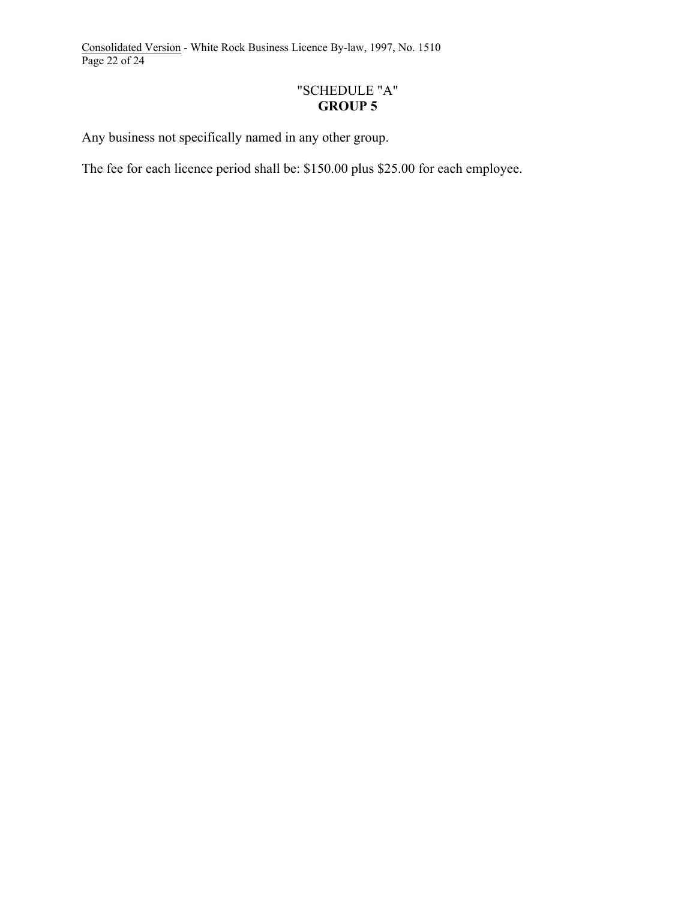Consolidated Version - White Rock Business Licence By-law, 1997, No. 1510 Page 22 of 24

# "SCHEDULE "A" **GROUP 5**

Any business not specifically named in any other group.

The fee for each licence period shall be: \$150.00 plus \$25.00 for each employee.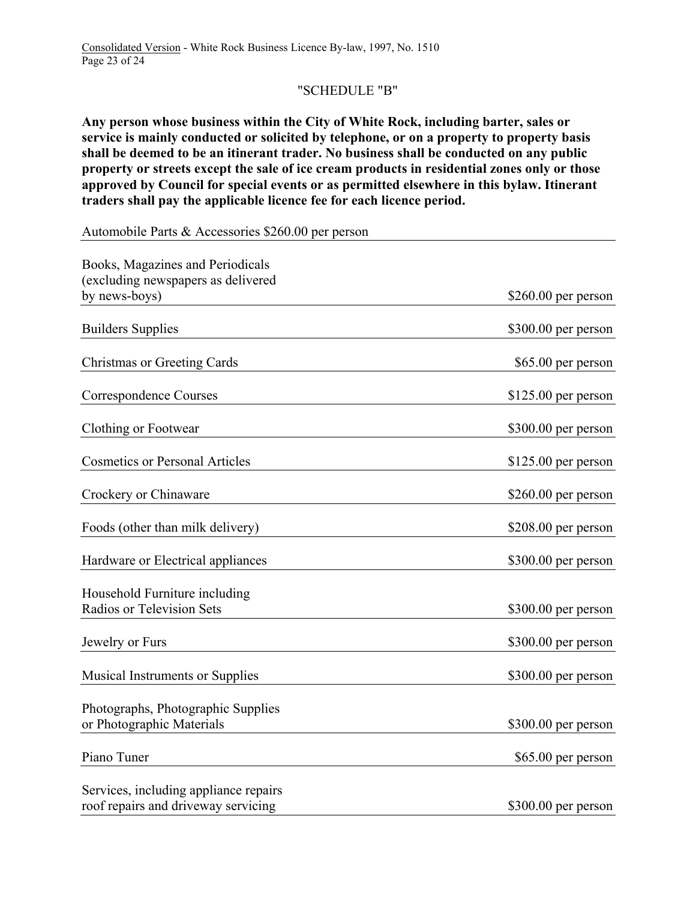# "SCHEDULE "B"

**Any person whose business within the City of White Rock, including barter, sales or service is mainly conducted or solicited by telephone, or on a property to property basis shall be deemed to be an itinerant trader. No business shall be conducted on any public property or streets except the sale of ice cream products in residential zones only or those approved by Council for special events or as permitted elsewhere in this bylaw. Itinerant traders shall pay the applicable licence fee for each licence period.** 

Automobile Parts & Accessories \$260.00 per person

| Books, Magazines and Periodicals<br>(excluding newspapers as delivered       |                      |
|------------------------------------------------------------------------------|----------------------|
| by news-boys)                                                                | $$260.00$ per person |
| <b>Builders Supplies</b>                                                     | \$300.00 per person  |
| <b>Christmas or Greeting Cards</b>                                           | \$65.00 per person   |
| Correspondence Courses                                                       | $$125.00$ per person |
| Clothing or Footwear                                                         | $$300.00$ per person |
| <b>Cosmetics or Personal Articles</b>                                        | $$125.00$ per person |
| Crockery or Chinaware                                                        | $$260.00$ per person |
| Foods (other than milk delivery)                                             | $$208.00$ per person |
| Hardware or Electrical appliances                                            | $$300.00$ per person |
| Household Furniture including<br><b>Radios or Television Sets</b>            | $$300.00$ per person |
| Jewelry or Furs                                                              | $$300.00$ per person |
| <b>Musical Instruments or Supplies</b>                                       | \$300.00 per person  |
| Photographs, Photographic Supplies<br>or Photographic Materials              | \$300.00 per person  |
| Piano Tuner                                                                  | \$65.00 per person   |
| Services, including appliance repairs<br>roof repairs and driveway servicing | \$300.00 per person  |